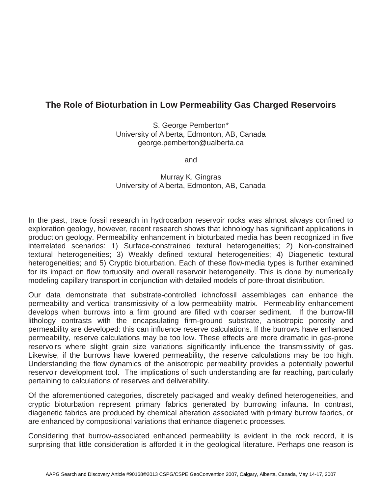## **The Role of Bioturbation in Low Permeability Gas Charged Reservoirs**

S. George Pemberton\* University of Alberta, Edmonton, AB, Canada george.pemberton@ualberta.ca

and

## Murray K. Gingras University of Alberta, Edmonton, AB, Canada

In the past, trace fossil research in hydrocarbon reservoir rocks was almost always confined to exploration geology, however, recent research shows that ichnology has significant applications in production geology. Permeability enhancement in bioturbated media has been recognized in five interrelated scenarios: 1) Surface-constrained textural heterogeneities; 2) Non-constrained textural heterogeneities; 3) Weakly defined textural heterogeneities; 4) Diagenetic textural heterogeneities; and 5) Cryptic bioturbation. Each of these flow-media types is further examined for its impact on flow tortuosity and overall reservoir heterogeneity. This is done by numerically modeling capillary transport in conjunction with detailed models of pore-throat distribution.

Our data demonstrate that substrate-controlled ichnofossil assemblages can enhance the permeability and vertical transmissivity of a low-permeability matrix. Permeability enhancement develops when burrows into a firm ground are filled with coarser sediment. If the burrow-fill lithology contrasts with the encapsulating firm-ground substrate, anisotropic porosity and permeability are developed: this can influence reserve calculations. If the burrows have enhanced permeability, reserve calculations may be too low. These effects are more dramatic in gas-prone reservoirs where slight grain size variations significantly influence the transmissivity of gas. Likewise, if the burrows have lowered permeability, the reserve calculations may be too high. Understanding the flow dynamics of the anisotropic permeability provides a potentially powerful reservoir development tool. The implications of such understanding are far reaching, particularly pertaining to calculations of reserves and deliverability.

Of the aforementioned categories, discretely packaged and weakly defined heterogeneities, and cryptic bioturbation represent primary fabrics generated by burrowing infauna. In contrast, diagenetic fabrics are produced by chemical alteration associated with primary burrow fabrics, or are enhanced by compositional variations that enhance diagenetic processes.

Considering that burrow-associated enhanced permeability is evident in the rock record, it is surprising that little consideration is afforded it in the geological literature. Perhaps one reason is